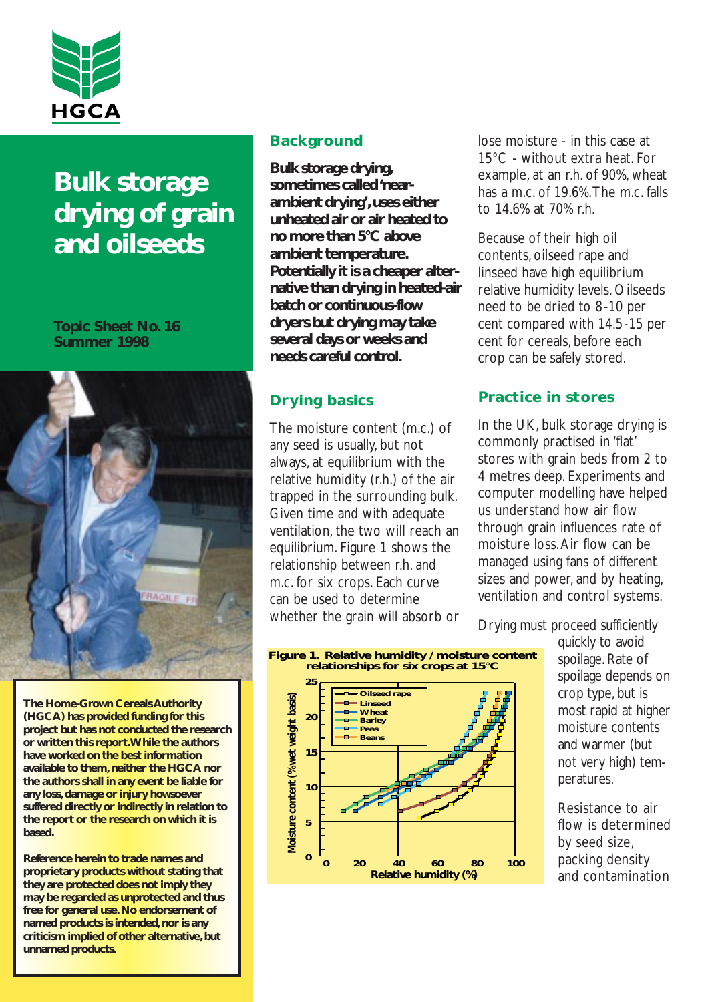

# **Bulk storage drying of grain and oilseeds**

#### **Topic Sheet No. 16 Summer 1998**



**The Home-Grown Cereals Authority (HGCA) has provided funding for this project but has not conducted the research or written this report.While the authors have worked on the best information available to them, neither the HGCA nor the authors shall in any event be liable for any loss, damage or injury howsoever suffered directly or indirectly in relation to the report or the research on which it is based.**

**Reference herein to trade names and proprietary products without stating that they are protected does not imply they may be regarded as unprotected and thus free for general use. No endorsement of named products is intended, nor is any criticism implied of other alternative,but unnamed products.**

# **Background**

**Bulk storage drying, sometimes called 'nearambient drying',uses either unheated air or air heated to no more than 5°C above ambient temperature. Potentially it is a cheaper alternative than drying in heated-air batch or continuous-flow dryers but drying may take several days or weeks and needs careful control.**

# **Drying basics**

The moisture content (m.c.) of any seed is usually, but not always, at equilibrium with the relative humidity (r.h.) of the air trapped in the surrounding bulk. Given time and with adequate ventilation, the two will reach an equilibrium. Figure 1 shows the relationship between r.h. and m.c. for six crops. Each curve can be used to determine whether the grain will absorb or lose moisture - in this case at 15°C - without extra heat. For example, at an r.h. of 90%, wheat has a m.c. of 19.6%.The m.c. falls to 14.6% at 70% r.h.

Because of their high oil contents, oilseed rape and linseed have high equilibrium relative humidity levels. Oilseeds need to be dried to 8-10 per cent compared with 14.5-15 per cent for cereals, before each crop can be safely stored.

# **Practice in stores**

In the UK, bulk storage drying is commonly practised in 'flat' stores with grain beds from 2 to 4 metres deep. Experiments and computer modelling have helped us understand how air flow through grain influences rate of moisture loss.Air flow can be managed using fans of different sizes and power, and by heating, ventilation and control systems.

Drying must proceed sufficiently





quickly to avoid spoilage. Rate of spoilage depends on crop type, but is most rapid at higher moisture contents and warmer (but not very high) temperatures.

Resistance to air flow is determined by seed size, packing density and contamination